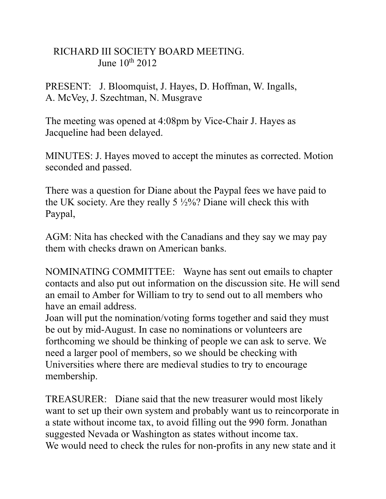## RICHARD III SOCIETY BOARD MEETING. June  $10^{th}$  2012

PRESENT: J. Bloomquist, J. Hayes, D. Hoffman, W. Ingalls, A. McVey, J. Szechtman, N. Musgrave

The meeting was opened at 4:08pm by Vice-Chair J. Hayes as Jacqueline had been delayed.

MINUTES: J. Hayes moved to accept the minutes as corrected. Motion seconded and passed.

There was a question for Diane about the Paypal fees we have paid to the UK society. Are they really 5 ½%? Diane will check this with Paypal,

AGM: Nita has checked with the Canadians and they say we may pay them with checks drawn on American banks.

NOMINATING COMMITTEE: Wayne has sent out emails to chapter contacts and also put out information on the discussion site. He will send an email to Amber for William to try to send out to all members who have an email address.

Joan will put the nomination/voting forms together and said they must be out by mid-August. In case no nominations or volunteers are forthcoming we should be thinking of people we can ask to serve. We need a larger pool of members, so we should be checking with Universities where there are medieval studies to try to encourage membership.

TREASURER: Diane said that the new treasurer would most likely want to set up their own system and probably want us to reincorporate in a state without income tax, to avoid filling out the 990 form. Jonathan suggested Nevada or Washington as states without income tax. We would need to check the rules for non-profits in any new state and it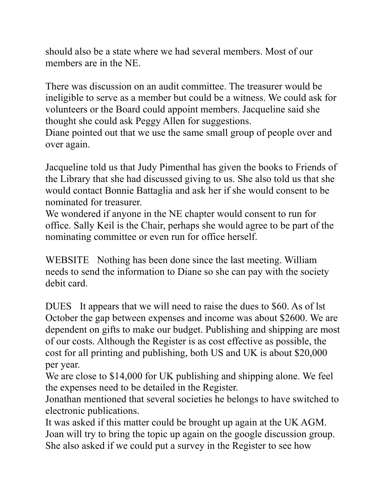should also be a state where we had several members. Most of our members are in the NE.

There was discussion on an audit committee. The treasurer would be ineligible to serve as a member but could be a witness. We could ask for volunteers or the Board could appoint members. Jacqueline said she thought she could ask Peggy Allen for suggestions.

Diane pointed out that we use the same small group of people over and over again.

Jacqueline told us that Judy Pimenthal has given the books to Friends of the Library that she had discussed giving to us. She also told us that she would contact Bonnie Battaglia and ask her if she would consent to be nominated for treasurer.

We wondered if anyone in the NE chapter would consent to run for office. Sally Keil is the Chair, perhaps she would agree to be part of the nominating committee or even run for office herself.

WEBSITE Nothing has been done since the last meeting. William needs to send the information to Diane so she can pay with the society debit card.

DUES It appears that we will need to raise the dues to \$60. As of lst October the gap between expenses and income was about \$2600. We are dependent on gifts to make our budget. Publishing and shipping are most of our costs. Although the Register is as cost effective as possible, the cost for all printing and publishing, both US and UK is about \$20,000 per year.

We are close to \$14,000 for UK publishing and shipping alone. We feel the expenses need to be detailed in the Register.

Jonathan mentioned that several societies he belongs to have switched to electronic publications.

It was asked if this matter could be brought up again at the UK AGM. Joan will try to bring the topic up again on the google discussion group. She also asked if we could put a survey in the Register to see how